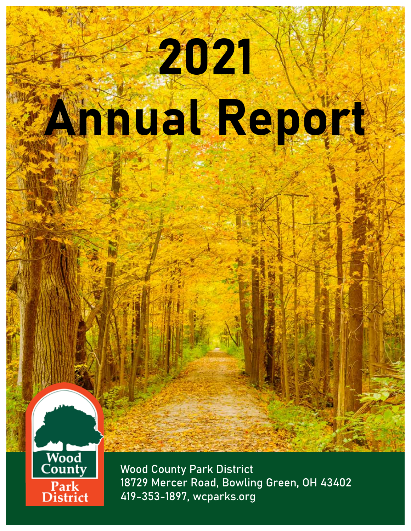# 2021 Annual Report



Wood County Park District 18729 Mercer Road, Bowling Green, OH 43402 419-353-1897, wcparks.org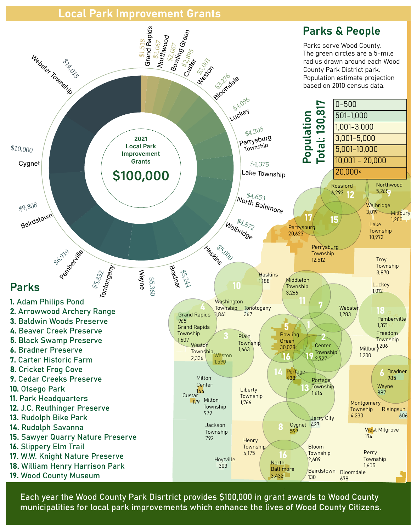### Local Park Improvement Grants



Each year the Wood County Park Disrtrict provides \$100,000 in grant awards to Wood County municipalities for local park improvements which enhance the lives of Wood County Citizens.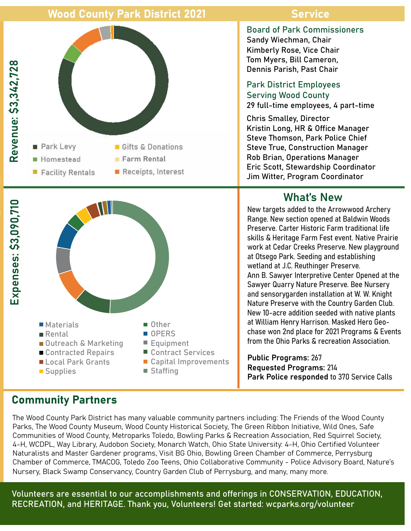## Wood County Park District 2021 Service





#### Board of Park Commissioners

Sandy Wiechman, Chair Kimberly Rose, Vice Chair Tom Myers, Bill Cameron, Dennis Parish, Past Chair

#### Park District Employees Serving Wood County

29 full-time employees, 4 part-time

Chris Smalley, Director Kristin Long, HR & Office Manager Steve Thomson, Park Police Chief Steve True, Construction Manager Rob Brian, Operations Manager Eric Scott, Stewardship Coordinator Jim Witter, Program Coordinator

## What's New

New targets added to the Arrowwood Archery Range. New section opened at Baldwin Woods Preserve. Carter Historic Farm traditional life skills & Heritage Farm Fest event. Native Prairie work at Cedar Creeks Preserve. New playground at Otsego Park. Seeding and establishing wetland at J.C. Reuthinger Preserve. Ann B. Sawyer Interpretive Center Opened at the Sawyer Quarry Nature Preserve. Bee Nursery and sensorygarden installation at W. W. Knight Nature Preserve with the Country Garden Club. New 10-acre addition seeded with native plants at William Henry Harrison. Masked Hero Geochase won 2nd place for 2021 Programs & Events from the Ohio Parks & recreation Association.

Public Programs: 267 Requested Programs: 214 Park Police responded to 370 Service Calls

The Wood County Park District has many valuable community partners including: The Friends of the Wood County Parks, The Wood County Museum, Wood County Historical Society, The Green Ribbon Initiative, Wild Ones, Safe Communities of Wood County, Metroparks Toledo, Bowling Parks & Recreation Association, Red Squirrel Society, 4-H, WCDPL, Way Library, Audobon Society, Monarch Watch, Ohio State University: 4-H, Ohio Certified Volunteer Naturalists and Master Gardener programs, Visit BG Ohio, Bowling Green Chamber of Commerce, Perrysburg Chamber of Commerce, TMACOG, Toledo Zoo Teens, Ohio Collaborative Community - Police Advisory Board, Nature's Nursery, Black Swamp Conservancy, Country Garden Club of Perrysburg, and many, many more.

Volunteers are essential to our accomplishments and offerings in CONSERVATION, EDUCATION, RECREATION, and HERITAGE. Thank you, Volunteers! Get started: wcparks.org/volunteer